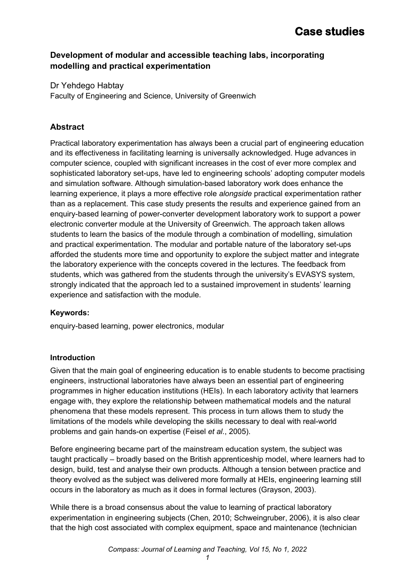### **Development of modular and accessible teaching labs, incorporating modelling and practical experimentation**

Dr Yehdego Habtay

Faculty of Engineering and Science, University of Greenwich

## **Abstract**

Practical laboratory experimentation has always been a crucial part of engineering education and its effectiveness in facilitating learning is universally acknowledged. Huge advances in computer science, coupled with significant increases in the cost of ever more complex and sophisticated laboratory set-ups, have led to engineering schools' adopting computer models and simulation software. Although simulation-based laboratory work does enhance the learning experience, it plays a more effective role *alongside* practical experimentation rather than as a replacement. This case study presents the results and experience gained from an enquiry-based learning of power-converter development laboratory work to support a power electronic converter module at the University of Greenwich. The approach taken allows students to learn the basics of the module through a combination of modelling, simulation and practical experimentation. The modular and portable nature of the laboratory set-ups afforded the students more time and opportunity to explore the subject matter and integrate the laboratory experience with the concepts covered in the lectures. The feedback from students, which was gathered from the students through the university's EVASYS system, strongly indicated that the approach led to a sustained improvement in students' learning experience and satisfaction with the module.

### **Keywords:**

enquiry-based learning, power electronics, modular

### **Introduction**

Given that the main goal of engineering education is to enable students to become practising engineers, instructional laboratories have always been an essential part of engineering programmes in higher education institutions (HEIs). In each laboratory activity that learners engage with, they explore the relationship between mathematical models and the natural phenomena that these models represent. This process in turn allows them to study the limitations of the models while developing the skills necessary to deal with real-world problems and gain hands-on expertise (Feisel *et al*., 2005).

Before engineering became part of the mainstream education system, the subject was taught practically – broadly based on the British apprenticeship model, where learners had to design, build, test and analyse their own products. Although a tension between practice and theory evolved as the subject was delivered more formally at HEIs, engineering learning still occurs in the laboratory as much as it does in formal lectures (Grayson, 2003).

While there is a broad consensus about the value to learning of practical laboratory experimentation in engineering subjects (Chen, 2010; Schweingruber, 2006), it is also clear that the high cost associated with complex equipment, space and maintenance (technician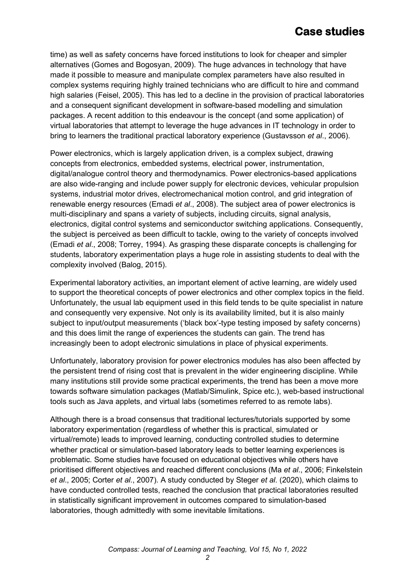time) as well as safety concerns have forced institutions to look for cheaper and simpler alternatives (Gomes and Bogosyan, 2009). The huge advances in technology that have made it possible to measure and manipulate complex parameters have also resulted in complex systems requiring highly trained technicians who are difficult to hire and command high salaries (Feisel, 2005). This has led to a decline in the provision of practical laboratories and a consequent significant development in software-based modelling and simulation packages. A recent addition to this endeavour is the concept (and some application) of virtual laboratories that attempt to leverage the huge advances in IT technology in order to bring to learners the traditional practical laboratory experience (Gustavsson *et al*., 2006).

Power electronics, which is largely application driven, is a complex subject, drawing concepts from electronics, embedded systems, electrical power, instrumentation, digital/analogue control theory and thermodynamics. Power electronics-based applications are also wide-ranging and include power supply for electronic devices, vehicular propulsion systems, industrial motor drives, electromechanical motion control, and grid integration of renewable energy resources (Emadi *et al*., 2008). The subject area of power electronics is multi-disciplinary and spans a variety of subjects, including circuits, signal analysis, electronics, digital control systems and semiconductor switching applications. Consequently, the subject is perceived as been difficult to tackle, owing to the variety of concepts involved (Emadi *et al*., 2008; Torrey, 1994). As grasping these disparate concepts is challenging for students, laboratory experimentation plays a huge role in assisting students to deal with the complexity involved (Balog, 2015).

Experimental laboratory activities, an important element of active learning, are widely used to support the theoretical concepts of power electronics and other complex topics in the field. Unfortunately, the usual lab equipment used in this field tends to be quite specialist in nature and consequently very expensive. Not only is its availability limited, but it is also mainly subject to input/output measurements ('black box'-type testing imposed by safety concerns) and this does limit the range of experiences the students can gain. The trend has increasingly been to adopt electronic simulations in place of physical experiments.

Unfortunately, laboratory provision for power electronics modules has also been affected by the persistent trend of rising cost that is prevalent in the wider engineering discipline. While many institutions still provide some practical experiments, the trend has been a move more towards software simulation packages (Matlab/Simulink, Spice etc.), web-based instructional tools such as Java applets, and virtual labs (sometimes referred to as remote labs).

Although there is a broad consensus that traditional lectures/tutorials supported by some laboratory experimentation (regardless of whether this is practical, simulated or virtual/remote) leads to improved learning, conducting controlled studies to determine whether practical or simulation-based laboratory leads to better learning experiences is problematic. Some studies have focused on educational objectives while others have prioritised different objectives and reached different conclusions (Ma *et al*., 2006; Finkelstein *et al*., 2005; Corter *et al*., 2007). A study conducted by Steger *et al*. (2020), which claims to have conducted controlled tests, reached the conclusion that practical laboratories resulted in statistically significant improvement in outcomes compared to simulation-based laboratories, though admittedly with some inevitable limitations.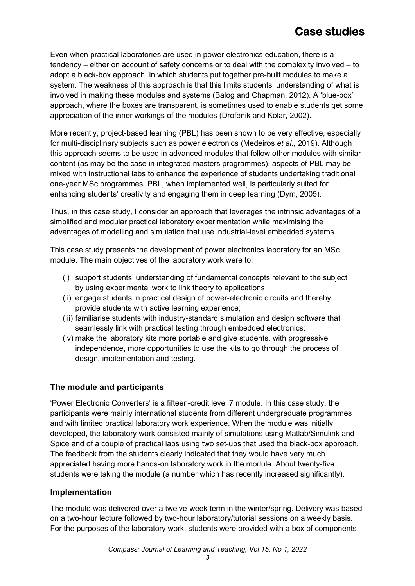Even when practical laboratories are used in power electronics education, there is a tendency – either on account of safety concerns or to deal with the complexity involved – to adopt a black-box approach, in which students put together pre-built modules to make a system. The weakness of this approach is that this limits students' understanding of what is involved in making these modules and systems (Balog and Chapman, 2012). A 'blue-box' approach, where the boxes are transparent, is sometimes used to enable students get some appreciation of the inner workings of the modules (Drofenik and Kolar, 2002).

More recently, project-based learning (PBL) has been shown to be very effective, especially for multi-disciplinary subjects such as power electronics (Medeiros *et al*., 2019). Although this approach seems to be used in advanced modules that follow other modules with similar content (as may be the case in integrated masters programmes), aspects of PBL may be mixed with instructional labs to enhance the experience of students undertaking traditional one-year MSc programmes. PBL, when implemented well, is particularly suited for enhancing students' creativity and engaging them in deep learning (Dym, 2005).

Thus, in this case study, I consider an approach that leverages the intrinsic advantages of a simplified and modular practical laboratory experimentation while maximising the advantages of modelling and simulation that use industrial-level embedded systems.

This case study presents the development of power electronics laboratory for an MSc module. The main objectives of the laboratory work were to:

- (i) support students' understanding of fundamental concepts relevant to the subject by using experimental work to link theory to applications;
- (ii) engage students in practical design of power-electronic circuits and thereby provide students with active learning experience;
- (iii) familiarise students with industry-standard simulation and design software that seamlessly link with practical testing through embedded electronics;
- (iv) make the laboratory kits more portable and give students, with progressive independence, more opportunities to use the kits to go through the process of design, implementation and testing.

### **The module and participants**

'Power Electronic Converters' is a fifteen-credit level 7 module. In this case study, the participants were mainly international students from different undergraduate programmes and with limited practical laboratory work experience. When the module was initially developed, the laboratory work consisted mainly of simulations using Matlab/Simulink and Spice and of a couple of practical labs using two set-ups that used the black-box approach. The feedback from the students clearly indicated that they would have very much appreciated having more hands-on laboratory work in the module. About twenty-five students were taking the module (a number which has recently increased significantly).

#### **Implementation**

The module was delivered over a twelve-week term in the winter/spring. Delivery was based on a two-hour lecture followed by two-hour laboratory/tutorial sessions on a weekly basis. For the purposes of the laboratory work, students were provided with a box of components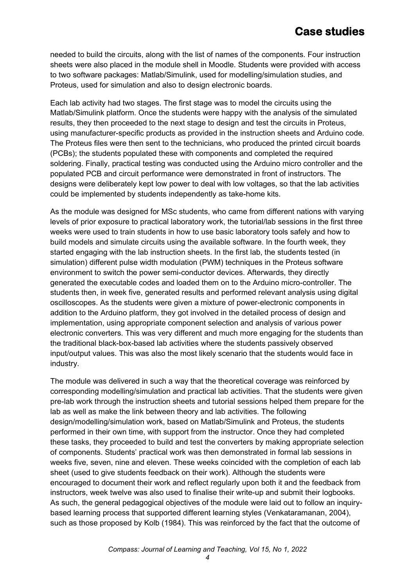needed to build the circuits, along with the list of names of the components. Four instruction sheets were also placed in the module shell in Moodle. Students were provided with access to two software packages: Matlab/Simulink, used for modelling/simulation studies, and Proteus, used for simulation and also to design electronic boards.

Each lab activity had two stages. The first stage was to model the circuits using the Matlab/Simulink platform. Once the students were happy with the analysis of the simulated results, they then proceeded to the next stage to design and test the circuits in Proteus, using manufacturer-specific products as provided in the instruction sheets and Arduino code. The Proteus files were then sent to the technicians, who produced the printed circuit boards (PCBs); the students populated these with components and completed the required soldering. Finally, practical testing was conducted using the Arduino micro controller and the populated PCB and circuit performance were demonstrated in front of instructors. The designs were deliberately kept low power to deal with low voltages, so that the lab activities could be implemented by students independently as take-home kits.

As the module was designed for MSc students, who came from different nations with varying levels of prior exposure to practical laboratory work, the tutorial/lab sessions in the first three weeks were used to train students in how to use basic laboratory tools safely and how to build models and simulate circuits using the available software. In the fourth week, they started engaging with the lab instruction sheets. In the first lab, the students tested (in simulation) different pulse width modulation (PWM) techniques in the Proteus software environment to switch the power semi-conductor devices. Afterwards, they directly generated the executable codes and loaded them on to the Arduino micro-controller. The students then, in week five, generated results and performed relevant analysis using digital oscilloscopes. As the students were given a mixture of power-electronic components in addition to the Arduino platform, they got involved in the detailed process of design and implementation, using appropriate component selection and analysis of various power electronic converters. This was very different and much more engaging for the students than the traditional black-box-based lab activities where the students passively observed input/output values. This was also the most likely scenario that the students would face in industry.

The module was delivered in such a way that the theoretical coverage was reinforced by corresponding modelling/simulation and practical lab activities. That the students were given pre-lab work through the instruction sheets and tutorial sessions helped them prepare for the lab as well as make the link between theory and lab activities. The following design/modelling/simulation work, based on Matlab/Simulink and Proteus, the students performed in their own time, with support from the instructor. Once they had completed these tasks, they proceeded to build and test the converters by making appropriate selection of components. Students' practical work was then demonstrated in formal lab sessions in weeks five, seven, nine and eleven. These weeks coincided with the completion of each lab sheet (used to give students feedback on their work). Although the students were encouraged to document their work and reflect regularly upon both it and the feedback from instructors, week twelve was also used to finalise their write-up and submit their logbooks. As such, the general pedagogical objectives of the module were laid out to follow an inquirybased learning process that supported different learning styles (Venkataramanan, 2004), such as those proposed by Kolb (1984). This was reinforced by the fact that the outcome of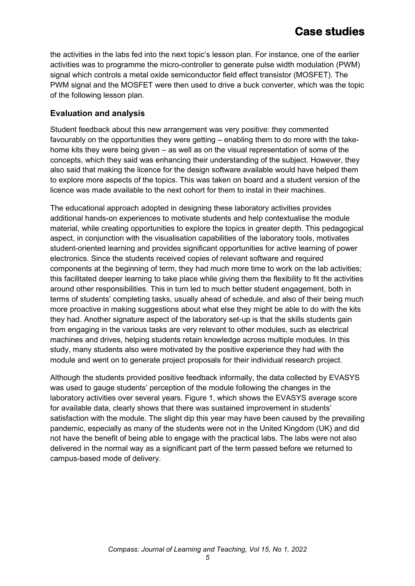the activities in the labs fed into the next topic's lesson plan. For instance, one of the earlier activities was to programme the micro-controller to generate pulse width modulation (PWM) signal which controls a metal oxide semiconductor field effect transistor (MOSFET). The PWM signal and the MOSFET were then used to drive a buck converter, which was the topic of the following lesson plan.

#### **Evaluation and analysis**

Student feedback about this new arrangement was very positive: they commented favourably on the opportunities they were getting – enabling them to do more with the takehome kits they were being given – as well as on the visual representation of some of the concepts, which they said was enhancing their understanding of the subject. However, they also said that making the licence for the design software available would have helped them to explore more aspects of the topics. This was taken on board and a student version of the licence was made available to the next cohort for them to instal in their machines.

The educational approach adopted in designing these laboratory activities provides additional hands-on experiences to motivate students and help contextualise the module material, while creating opportunities to explore the topics in greater depth. This pedagogical aspect, in conjunction with the visualisation capabilities of the laboratory tools, motivates student-oriented learning and provides significant opportunities for active learning of power electronics. Since the students received copies of relevant software and required components at the beginning of term, they had much more time to work on the lab activities; this facilitated deeper learning to take place while giving them the flexibility to fit the activities around other responsibilities. This in turn led to much better student engagement, both in terms of students' completing tasks, usually ahead of schedule, and also of their being much more proactive in making suggestions about what else they might be able to do with the kits they had. Another signature aspect of the laboratory set-up is that the skills students gain from engaging in the various tasks are very relevant to other modules, such as electrical machines and drives, helping students retain knowledge across multiple modules. In this study, many students also were motivated by the positive experience they had with the module and went on to generate project proposals for their individual research project.

Although the students provided positive feedback informally, the data collected by EVASYS was used to gauge students' perception of the module following the changes in the laboratory activities over several years. Figure 1, which shows the EVASYS average score for available data, clearly shows that there was sustained improvement in students' satisfaction with the module. The slight dip this year may have been caused by the prevailing pandemic, especially as many of the students were not in the United Kingdom (UK) and did not have the benefit of being able to engage with the practical labs. The labs were not also delivered in the normal way as a significant part of the term passed before we returned to campus-based mode of delivery.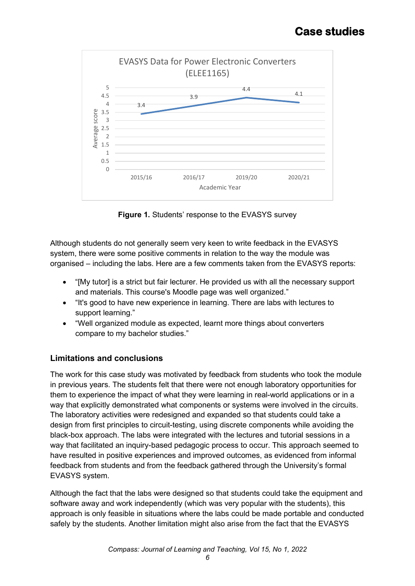

**Figure 1.** Students' response to the EVASYS survey

Although students do not generally seem very keen to write feedback in the EVASYS system, there were some positive comments in relation to the way the module was organised – including the labs. Here are a few comments taken from the EVASYS reports:

- "[My tutor] is a strict but fair lecturer. He provided us with all the necessary support and materials. This course's Moodle page was well organized."
- "It's good to have new experience in learning. There are labs with lectures to support learning."
- "Well organized module as expected, learnt more things about converters compare to my bachelor studies."

### **Limitations and conclusions**

The work for this case study was motivated by feedback from students who took the module in previous years. The students felt that there were not enough laboratory opportunities for them to experience the impact of what they were learning in real-world applications or in a way that explicitly demonstrated what components or systems were involved in the circuits. The laboratory activities were redesigned and expanded so that students could take a design from first principles to circuit-testing, using discrete components while avoiding the black-box approach. The labs were integrated with the lectures and tutorial sessions in a way that facilitated an inquiry-based pedagogic process to occur. This approach seemed to have resulted in positive experiences and improved outcomes, as evidenced from informal feedback from students and from the feedback gathered through the University's formal EVASYS system.

Although the fact that the labs were designed so that students could take the equipment and software away and work independently (which was very popular with the students), this approach is only feasible in situations where the labs could be made portable and conducted safely by the students. Another limitation might also arise from the fact that the EVASYS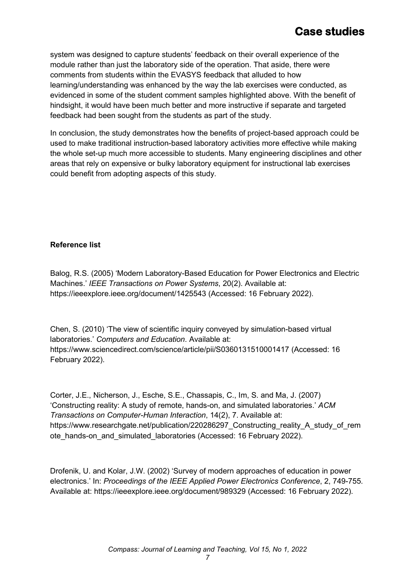system was designed to capture students' feedback on their overall experience of the module rather than just the laboratory side of the operation. That aside, there were comments from students within the EVASYS feedback that alluded to how learning/understanding was enhanced by the way the lab exercises were conducted, as evidenced in some of the student comment samples highlighted above. With the benefit of hindsight, it would have been much better and more instructive if separate and targeted feedback had been sought from the students as part of the study.

In conclusion, the study demonstrates how the benefits of project-based approach could be used to make traditional instruction-based laboratory activities more effective while making the whole set-up much more accessible to students. Many engineering disciplines and other areas that rely on expensive or bulky laboratory equipment for instructional lab exercises could benefit from adopting aspects of this study.

#### **Reference list**

Balog, R.S. (2005) 'Modern Laboratory-Based Education for Power Electronics and Electric Machines.' *IEEE Transactions on Power Systems*, 20(2). Available at: https://ieeexplore.ieee.org/document/1425543 (Accessed: 16 February 2022).

Chen, S. (2010) 'The view of scientific inquiry conveyed by simulation-based virtual laboratories.' *Computers and Education*. Available at: https://www.sciencedirect.com/science/article/pii/S0360131510001417 (Accessed: 16 February 2022).

Corter, J.E., Nicherson, J., Esche, S.E., Chassapis, C., Im, S. and Ma, J. (2007) 'Constructing reality: A study of remote, hands-on, and simulated laboratories.' *ACM Transactions on Computer-Human Interaction*, 14(2), 7. Available at: https://www.researchgate.net/publication/220286297 Constructing reality A study of rem ote hands-on and simulated laboratories (Accessed: 16 February 2022).

Drofenik, U. and Kolar, J.W. (2002) 'Survey of modern approaches of education in power electronics.' In: *Proceedings of the IEEE Applied Power Electronics Conference*, 2, 749-755. Available at: https://ieeexplore.ieee.org/document/989329 (Accessed: 16 February 2022).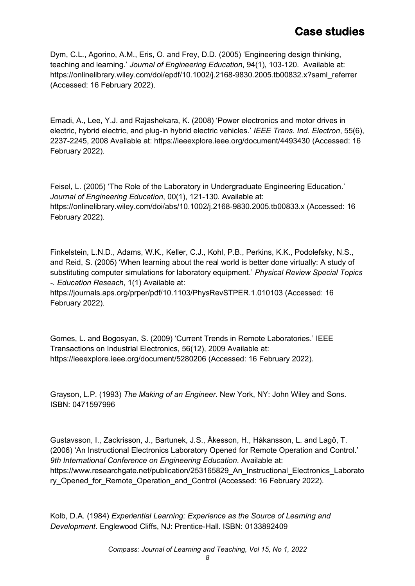Dym, C.L., Agorino, A.M., Eris, O. and Frey, D.D. (2005) 'Engineering design thinking, teaching and learning.' *Journal of Engineering Education*, 94(1), 103-120. Available at: https://onlinelibrary.wiley.com/doi/epdf/10.1002/j.2168-9830.2005.tb00832.x?saml\_referrer (Accessed: 16 February 2022).

Emadi, A., Lee, Y.J. and Rajashekara, K. (2008) 'Power electronics and motor drives in electric, hybrid electric, and plug-in hybrid electric vehicles.' *IEEE Trans. Ind. Electron*, 55(6), 2237-2245, 2008 Available at: https://ieeexplore.ieee.org/document/4493430 (Accessed: 16 February 2022).

Feisel, L. (2005) 'The Role of the Laboratory in Undergraduate Engineering Education.' *Journal of Engineering Education*, 00(1), 121-130. Available at: https://onlinelibrary.wiley.com/doi/abs/10.1002/j.2168-9830.2005.tb00833.x (Accessed: 16 February 2022).

Finkelstein, L.N.D., Adams, W.K., Keller, C.J., Kohl, P.B., Perkins, K.K., Podolefsky, N.S., and Reid, S. (2005) 'When learning about the real world is better done virtually: A study of substituting computer simulations for laboratory equipment.' *Physical Review Special Topics -. Education Reseach*, 1(1) Available at: https://journals.aps.org/prper/pdf/10.1103/PhysRevSTPER.1.010103 (Accessed: 16 February 2022).

Gomes, L. and Bogosyan, S. (2009) 'Current Trends in Remote Laboratories.' IEEE Transactions on Industrial Electronics, 56(12), 2009 Available at: https://ieeexplore.ieee.org/document/5280206 (Accessed: 16 February 2022).

Grayson, L.P. (1993) *The Making of an Engineer*. New York, NY: John Wiley and Sons. ISBN: 0471597996

Gustavsson, I., Zackrisson, J., Bartunek, J.S., Åkesson, H., Håkansson, L. and Lagö, T. (2006) 'An Instructional Electronics Laboratory Opened for Remote Operation and Control.' *9th International Conference on Engineering Education*. Available at: https://www.researchgate.net/publication/253165829 An Instructional Electronics Laborato ry Opened for Remote Operation and Control (Accessed: 16 February 2022).

Kolb, D.A. (1984) *Experiential Learning: Experience as the Source of Learning and Development*. Englewood Cliffs, NJ: Prentice-Hall. ISBN: 0133892409